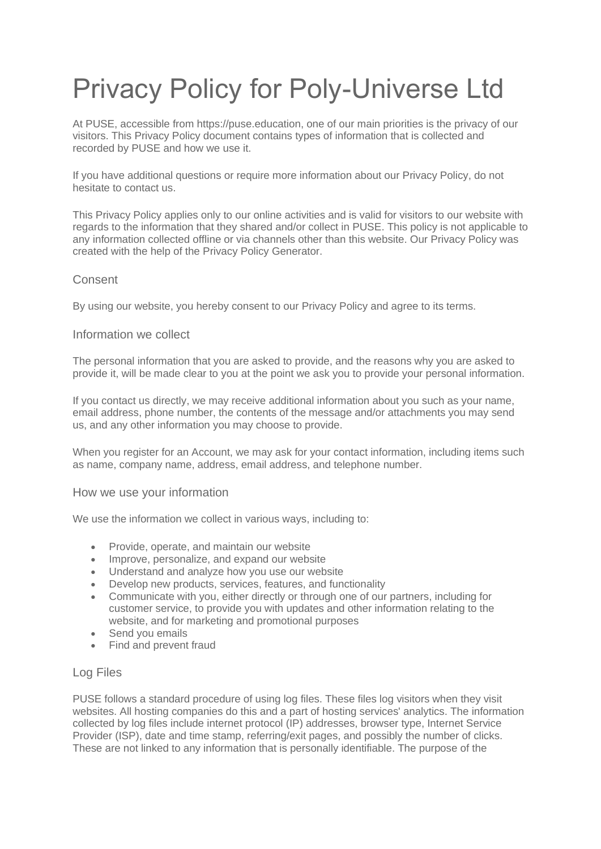# Privacy Policy for Poly-Universe Ltd

At PUSE, accessible from https://puse.education, one of our main priorities is the privacy of our visitors. This Privacy Policy document contains types of information that is collected and recorded by PUSE and how we use it.

If you have additional questions or require more information about our Privacy Policy, do not hesitate to contact us.

This Privacy Policy applies only to our online activities and is valid for visitors to our website with regards to the information that they shared and/or collect in PUSE. This policy is not applicable to any information collected offline or via channels other than this website. Our Privacy Policy was created with the help of the [Privacy Policy Generator.](https://www.privacypolicygenerator.info/)

# **Consent**

By using our website, you hereby consent to our Privacy Policy and agree to its terms.

## Information we collect

The personal information that you are asked to provide, and the reasons why you are asked to provide it, will be made clear to you at the point we ask you to provide your personal information.

If you contact us directly, we may receive additional information about you such as your name, email address, phone number, the contents of the message and/or attachments you may send us, and any other information you may choose to provide.

When you register for an Account, we may ask for your contact information, including items such as name, company name, address, email address, and telephone number.

#### How we use your information

We use the information we collect in various ways, including to:

- Provide, operate, and maintain our website
- Improve, personalize, and expand our website
- Understand and analyze how you use our website
- Develop new products, services, features, and functionality
- Communicate with you, either directly or through one of our partners, including for customer service, to provide you with updates and other information relating to the website, and for marketing and promotional purposes
- Send you emails
- Find and prevent fraud

#### Log Files

PUSE follows a standard procedure of using log files. These files log visitors when they visit websites. All hosting companies do this and a part of hosting services' analytics. The information collected by log files include internet protocol (IP) addresses, browser type, Internet Service Provider (ISP), date and time stamp, referring/exit pages, and possibly the number of clicks. These are not linked to any information that is personally identifiable. The purpose of the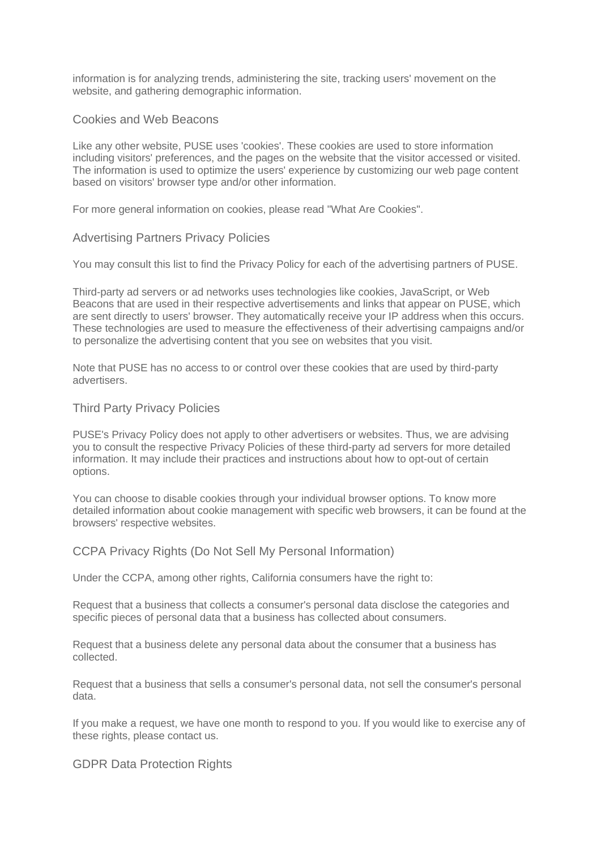information is for analyzing trends, administering the site, tracking users' movement on the website, and gathering demographic information.

## Cookies and Web Beacons

Like any other website, PUSE uses 'cookies'. These cookies are used to store information including visitors' preferences, and the pages on the website that the visitor accessed or visited. The information is used to optimize the users' experience by customizing our web page content based on visitors' browser type and/or other information.

For more general information on cookies, please read ["What Are Cookies".](https://www.privacypolicyonline.com/what-are-cookies/)

#### Advertising Partners Privacy Policies

You may consult this list to find the Privacy Policy for each of the advertising partners of PUSE.

Third-party ad servers or ad networks uses technologies like cookies, JavaScript, or Web Beacons that are used in their respective advertisements and links that appear on PUSE, which are sent directly to users' browser. They automatically receive your IP address when this occurs. These technologies are used to measure the effectiveness of their advertising campaigns and/or to personalize the advertising content that you see on websites that you visit.

Note that PUSE has no access to or control over these cookies that are used by third-party advertisers.

#### Third Party Privacy Policies

PUSE's Privacy Policy does not apply to other advertisers or websites. Thus, we are advising you to consult the respective Privacy Policies of these third-party ad servers for more detailed information. It may include their practices and instructions about how to opt-out of certain options.

You can choose to disable cookies through your individual browser options. To know more detailed information about cookie management with specific web browsers, it can be found at the browsers' respective websites.

## CCPA Privacy Rights (Do Not Sell My Personal Information)

Under the CCPA, among other rights, California consumers have the right to:

Request that a business that collects a consumer's personal data disclose the categories and specific pieces of personal data that a business has collected about consumers.

Request that a business delete any personal data about the consumer that a business has collected.

Request that a business that sells a consumer's personal data, not sell the consumer's personal data.

If you make a request, we have one month to respond to you. If you would like to exercise any of these rights, please contact us.

### GDPR Data Protection Rights